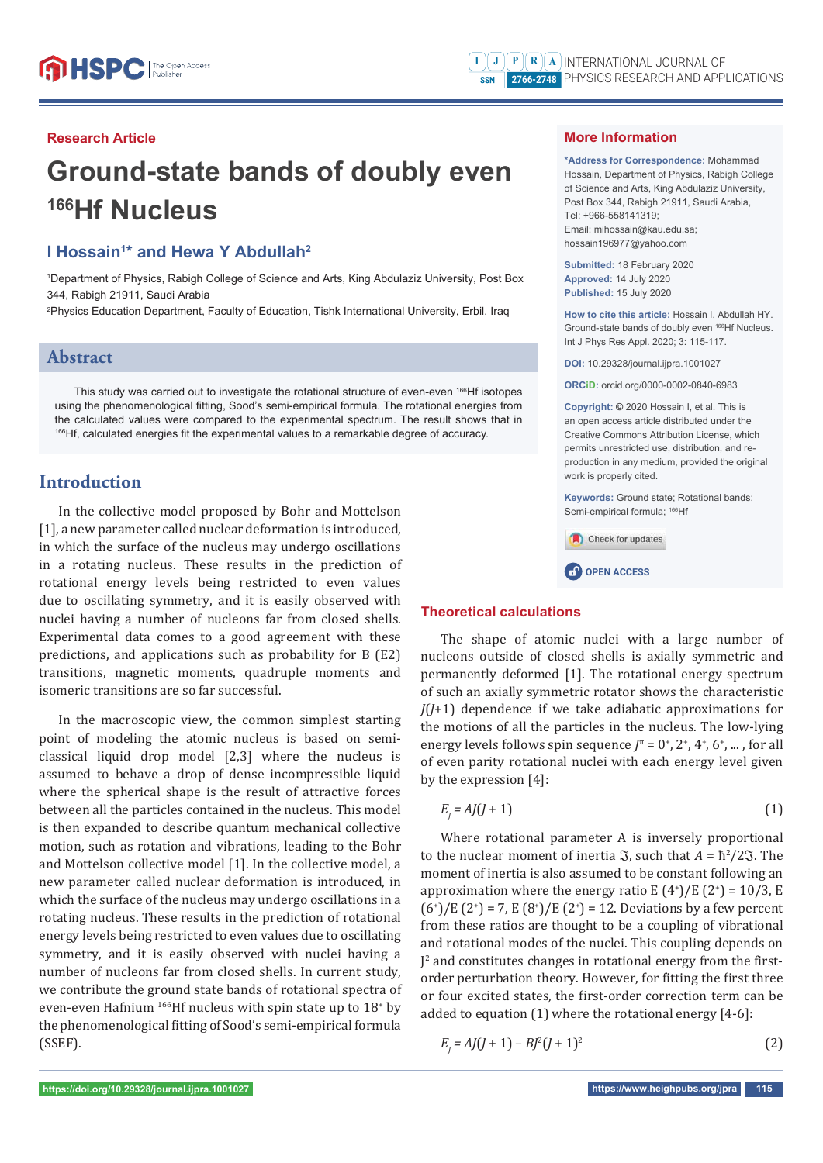#### **Research Article**

# **Ground-state bands of doubly even 166Hf Nucleus**

## **I Hossain<sup>1\*</sup> and Hewa Y Abdullah<sup>2</sup>**

1 Department of Physics, Rabigh College of Science and Arts, King Abdulaziz University, Post Box 344, Rabigh 21911, Saudi Arabia

2 Physics Education Department, Faculty of Education, Tishk International University, Erbil, Iraq

# **Abstract**

This study was carried out to investigate the rotational structure of even-even 166Hf isotopes using the phenomenological fitting, Sood's semi-empirical formula. The rotational energies from the calculated values were compared to the experimental spectrum. The result shows that in 166Hf, calculated energies fit the experimental values to a remarkable degree of accuracy.

# **Introduction**

In the collective model proposed by Bohr and Mottelson [1], a new parameter called nuclear deformation is introduced, in which the surface of the nucleus may undergo oscillations in a rotating nucleus. These results in the prediction of rotational energy levels being restricted to even values due to oscillating symmetry, and it is easily observed with nuclei having a number of nucleons far from closed shells. Experimental data comes to a good agreement with these predictions, and applications such as probability for B (E2) transitions, magnetic moments, quadruple moments and isomeric transitions are so far successful.

In the macroscopic view, the common simplest starting point of modeling the atomic nucleus is based on semiclassical liquid drop model [2,3] where the nucleus is assumed to behave a drop of dense incompressible liquid where the spherical shape is the result of attractive forces between all the particles contained in the nucleus. This model is then expanded to describe quantum mechanical collective motion, such as rotation and vibrations, leading to the Bohr and Mottelson collective model [1]. In the collective model, a new parameter called nuclear deformation is introduced, in which the surface of the nucleus may undergo oscillations in a rotating nucleus. These results in the prediction of rotational energy levels being restricted to even values due to oscillating symmetry, and it is easily observed with nuclei having a number of nucleons far from closed shells. In current study, we contribute the ground state bands of rotational spectra of even-even Hafnium  $^{166}$ Hf nucleus with spin state up to  $18<sup>+</sup>$  by the phenomenological fitting of Sood's semi-empirical formula (SSEF).

#### **More Information**

**\*Address for Correspondence:** Mohammad Hossain, Department of Physics, Rabigh College of Science and Arts, King Abdulaziz University, Post Box 344, Rabigh 21911, Saudi Arabia, Tel: +966-558141319; Email: mihossain@kau.edu.sa; hossain196977@yahoo.com

**Submitted:** 18 February 2020 **Approved:** 14 July 2020 **Published:** 15 July 2020

**How to cite this article:** Hossain I, Abdullah HY. Ground-state bands of doubly even 166Hf Nucleus. Int J Phys Res Appl. 2020; 3: 115-117.

**DOI:** 10.29328/journal.ijpra.1001027

**ORCiD:** orcid.org/0000-0002-0840-6983

**Copyright: ©** 2020 Hossain I, et al. This is an open access article distributed under the Creative Commons Attribution License, which permits unrestricted use, distribution, and reproduction in any medium, provided the original work is properly cited.

**Keywords:** Ground state; Rotational bands; Semi-empirical formula: <sup>166</sup>Hf



#### **Theoretical calculations**

The shape of atomic nuclei with a large number of nucleons outside of closed shells is axially symmetric and permanently deformed [1]. The rotational energy spectrum of such an axially symmetric rotator shows the characteristic *J*(*J*+1) dependence if we take adiabatic approximations for the motions of all the particles in the nucleus. The low-lying energy levels follows spin sequence  $J^{\pi} = 0^{+}$ ,  $2^{+}$ ,  $4^{+}$ ,  $6^{+}$ , ..., for all of even parity rotational nuclei with each energy level given by the expression [4]:

$$
E_{i} = AJ(J+1) \tag{1}
$$

Where rotational parameter A is inversely proportional to the nuclear moment of inertia  $\Im$ , such that  $A = \frac{\hbar^2}{2\Im}$ . The moment of inertia is also assumed to be constant following an approximation where the energy ratio E  $(4^{\circ})/E(2^{\circ}) = 10/3$ , E  $(6^{\circ})/E(2^{\circ}) = 7$ ,  $E(8^{\circ})/E(2^{\circ}) = 12$ . Deviations by a few percent from these ratios are thought to be a coupling of vibrational and rotational modes of the nuclei. This coupling depends on J<sup>2</sup> and constitutes changes in rotational energy from the firstorder perturbation theory. However, for fitting the first three or four excited states, the first-order correction term can be added to equation (1) where the rotational energy [4-6]:

 $E_j = AJ(J + 1) - BJ^2(J + 1)^2$  (2)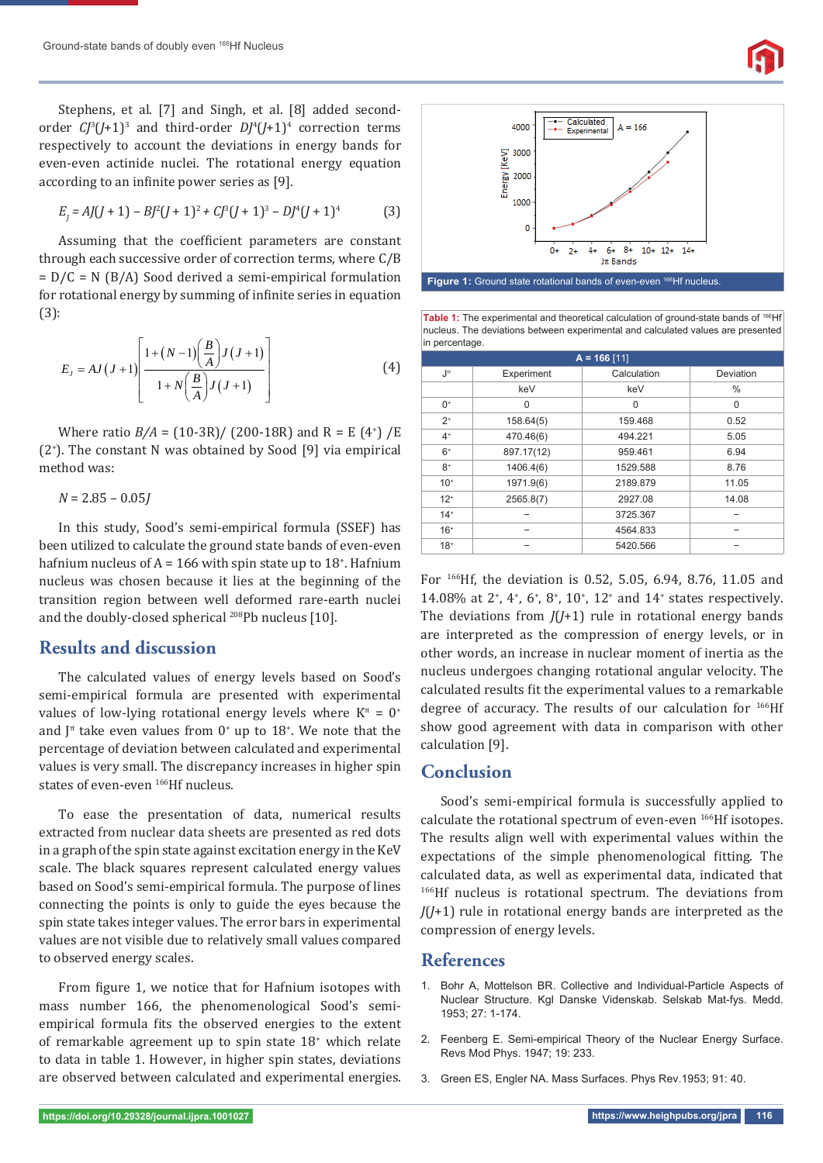Stephens, et al. [7] and Singh, et al. [8] added secondorder  $\mathbb{C}^3$  (*J*+1)<sup>3</sup> and third-order  $D$ *J*<sup>4</sup>(*J*+1)<sup>4</sup> correction terms respectively to account the deviations in energy bands for even-even actinide nuclei. The rotational energy equation according to an infinite power series as [9].

$$
E_j = AJ(J + 1) - Bj^2(J + 1)^2 + Cj^3(J + 1)^3 - Dj^4(J + 1)^4
$$
 (3)

Assuming that the coefficient parameters are constant through each successive order of correction terms, where C/B  $= D/C = N (B/A)$  Sood derived a semi-empirical formulation for rotational energy by summing of infinite series in equation (3):

$$
E_J = AJ(J+1) \left[ \frac{1 + (N-1) \left( \frac{B}{A} \right) J(J+1)}{1 + N \left( \frac{B}{A} \right) J(J+1)} \right]
$$
(4)

Where ratio  $B/A = (10-3R) / (200-18R)$  and  $R = E(4^+) / E$ (2+ ). The constant N was obtained by Sood [9] via empirical method was:

*N* = 2.85 – 0.05*J*

In this study, Sood's semi-empirical formula (SSEF) has been utilized to calculate the ground state bands of even-even hafnium nucleus of  $A = 166$  with spin state up to  $18<sup>+</sup>$ . Hafnium nucleus was chosen because it lies at the beginning of the transition region between well deformed rare-earth nuclei and the doubly-closed spherical 208Pb nucleus [10].

## **Results and discussion**

The calculated values of energy levels based on Sood's semi-empirical formula are presented with experimental values of low-lying rotational energy levels where  $K^{\pi} = 0^{+}$ and  $J^{\pi}$  take even values from  $0^{+}$  up to 18<sup>+</sup>. We note that the percentage of deviation between calculated and experimental values is very small. The discrepancy increases in higher spin states of even-even 166Hf nucleus.

To ease the presentation of data, numerical results extracted from nuclear data sheets are presented as red dots in a graph of the spin state against excitation energy in the KeV scale. The black squares represent calculated energy values based on Sood's semi-empirical formula. The purpose of lines connecting the points is only to guide the eyes because the spin state takes integer values. The error bars in experimental values are not visible due to relatively small values compared to observed energy scales.

From figure 1, we notice that for Hafnium isotopes with mass number 166, the phenomenological Sood's semiempirical formula fits the observed energies to the extent of remarkable agreement up to spin state 18<sup>+</sup> which relate to data in table 1. However, in higher spin states, deviations are observed between calculated and experimental energies.



Table 1: The experimental and theoretical calculation of ground-state bands of <sup>166</sup>Hf nucleus. The deviations between experimental and calculated values are presented in percentage.

| $n \cdot p$ or our $n \cdot q$ or |            |             |               |
|-----------------------------------|------------|-------------|---------------|
| $A = 166$ [11]                    |            |             |               |
| Jπ                                | Experiment | Calculation | Deviation     |
|                                   | keV        | keV         | $\frac{0}{0}$ |
| $0+$                              | $\Omega$   | 0           | 0             |
| $2^+$                             | 158.64(5)  | 159.468     | 0.52          |
| $4^+$                             | 470.46(6)  | 494.221     | 5.05          |
| $6+$                              | 897.17(12) | 959.461     | 6.94          |
| $8+$                              | 1406.4(6)  | 1529.588    | 8.76          |
| $10+$                             | 1971.9(6)  | 2189.879    | 11.05         |
| $12^{+}$                          | 2565.8(7)  | 2927.08     | 14.08         |
| $14+$                             |            | 3725.367    |               |
| $16+$                             |            | 4564.833    |               |
| $18+$                             |            | 5420.566    |               |

For 166Hf, the deviation is 0.52, 5.05, 6.94, 8.76, 11.05 and 14.08% at 2<sup>+</sup>, 4<sup>+</sup>, 6<sup>+</sup>, 8<sup>+</sup>, 10<sup>+</sup>, 12<sup>+</sup> and 14<sup>+</sup> states respectively. The deviations from *J*(*J*+1) rule in rotational energy bands are interpreted as the compression of energy levels, or in other words, an increase in nuclear moment of inertia as the nucleus undergoes changing rotational angular velocity. The calculated results fit the experimental values to a remarkable degree of accuracy. The results of our calculation for  $^{166}$ Hf show good agreement with data in comparison with other calculation [9].

#### **Conclusion**

Sood's semi-empirical formula is successfully applied to calculate the rotational spectrum of even-even <sup>166</sup>Hf isotopes. The results align well with experimental values within the expectations of the simple phenomenological fitting. The calculated data, as well as experimental data, indicated that 166Hf nucleus is rotational spectrum. The deviations from *J*(*J*+1) rule in rotational energy bands are interpreted as the compression of energy levels.

#### **References**

- 1. Bohr A, Mottelson BR. Collective and Individual-Particle Aspects of Nuclear Structure. Kgl Danske Videnskab. Selskab Mat-fys. Medd. 1953; 27: 1-174.
- 2. Feenberg E. Semi-empirical Theory of the Nuclear Energy Surface. Revs Mod Phys. 1947; 19: 233.
- 3. Green ES, Engler NA. Mass Surfaces. Phys Rev.1953; 91: 40.